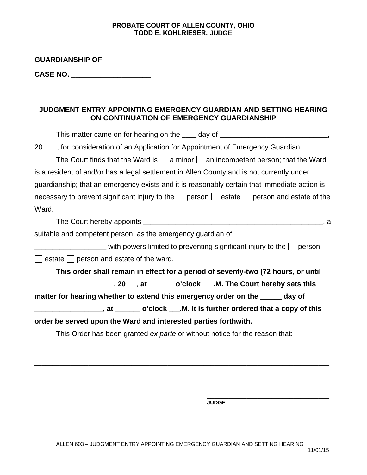## **PROBATE COURT OF ALLEN COUNTY, OHIO TODD E. KOHLRIESER, JUDGE**

**GUARDIANSHIP OF** \_\_\_\_\_\_\_\_\_\_\_\_\_\_\_\_\_\_\_\_\_\_\_\_\_\_\_\_\_\_\_\_\_\_\_\_\_\_\_\_\_\_\_\_\_\_\_\_\_\_\_

\_\_\_\_\_\_\_\_\_\_\_\_\_\_\_\_\_\_\_ **CASE NO.** 

## **JUDGMENT ENTRY APPOINTING EMERGENCY GUARDIAN AND SETTING HEARING ON CONTINUATION OF EMERGENCY GUARDIANSHIP**

| This matter came on for hearing on the _____ day of _____________________________,                         |
|------------------------------------------------------------------------------------------------------------|
| 20___, for consideration of an Application for Appointment of Emergency Guardian.                          |
| The Court finds that the Ward is $\Box$ a minor $\Box$ an incompetent person; that the Ward                |
| is a resident of and/or has a legal settlement in Allen County and is not currently under                  |
| guardianship; that an emergency exists and it is reasonably certain that immediate action is               |
| necessary to prevent significant injury to the $\Box$ person $\Box$ estate $\Box$ person and estate of the |
| Ward.                                                                                                      |
|                                                                                                            |
| suitable and competent person, as the emergency guardian of _____________________                          |
|                                                                                                            |
| $\Box$ estate $\Box$ person and estate of the ward.                                                        |
| This order shall remain in effect for a period of seventy-two (72 hours, or until                          |
| ________________________,20____,at ________ o'clock ___.M. The Court hereby sets this                      |
| matter for hearing whether to extend this emergency order on the ______ day of                             |
| ____________________, at ________ o'clock ___.M. It is further ordered that a copy of this                 |
| order be served upon the Ward and interested parties forthwith.                                            |
| This Order has been granted ex parte or without notice for the reason that:                                |
|                                                                                                            |

\_\_\_\_\_\_\_\_\_\_\_\_\_\_\_\_\_\_\_\_\_\_\_\_\_\_\_\_\_\_\_\_\_\_ **JUDGE**

\_\_\_\_\_\_\_\_\_\_\_\_\_\_\_\_\_\_\_\_\_\_\_\_\_\_\_\_\_\_\_\_\_\_\_\_\_\_\_\_\_\_\_\_\_\_\_\_\_\_\_\_\_\_\_\_\_\_\_\_\_\_\_\_\_\_\_\_\_\_\_\_\_\_\_\_\_\_\_\_\_\_